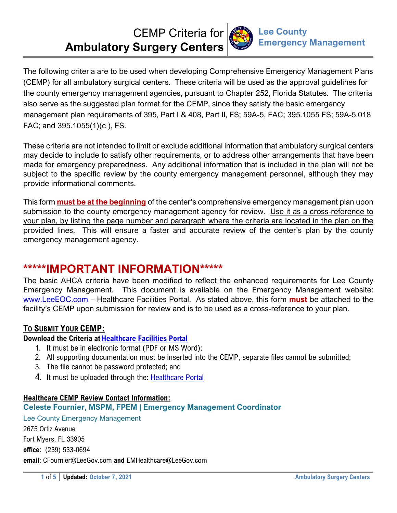# CEMP Criteria for **Ambulatory Surgery Centers**



The following criteria are to be used when developing Comprehensive Emergency Management Plans (CEMP) for all ambulatory surgical centers. These criteria will be used as the approval guidelines for the county emergency management agencies, pursuant to Chapter 252, Florida Statutes. The criteria also serve as the suggested plan format for the CEMP, since they satisfy the basic emergency management plan requirements of 395, Part I & 408, Part II, FS; 59A-5, FAC; 395.1055 FS; 59A-5.018 FAC; and 395.1055(1)(c ), FS.

These criteria are not intended to limit or exclude additional information that ambulatory surgical centers may decide to include to satisfy other requirements, or to address other arrangements that have been made for emergency preparedness. Any additional information that is included in the plan will not be subject to the specific review by the county emergency management personnel, although they may provide informational comments.

This form **must be at the beginning** of the center's comprehensive emergency management plan upon submission to the county emergency management agency for review. Use it as a cross-reference to your plan, by listing the page number and paragraph where the criteria are located in the plan on the provided lines. This will ensure a faster and accurate review of the center's plan by the county emergency management agency.

## **\*\*\*\*\*IMPORTANT INFORMATION\*\*\*\*\***

The basic AHCA criteria have been modified to reflect the enhanced requirements for Lee County Emergency Management. This document is available on the Emergency Management website: www.LeeEOC.com – Healthcare Facilities Portal. As stated above, this form **must** be attached to the facility's CEMP upon submission for review and is to be used as a cross-reference to your plan.

### **TO SUBMIT YOUR CEMP:**

### **Download the Criteria at Healthcare Facilities Portal**

- 1. It must be in electronic format (PDF or MS Word);
- 2. All supporting documentation must be inserted into the CEMP, separate files cannot be submitted;
- 3. The file cannot be password protected; and
- 4. It must be uploaded through the: Healthcare Portal

### **Healthcare CEMP Review Contact Information:**

### **Celeste Fournier, MSPM, FPEM | Emergency Management Coordinator**

Lee County Emergency Management 2675 Ortiz Avenue Fort Myers, FL 33905 **office**: (239) 533-0694 **email**: CFournier@LeeGov.com **and** EMHealthcare@LeeGov.com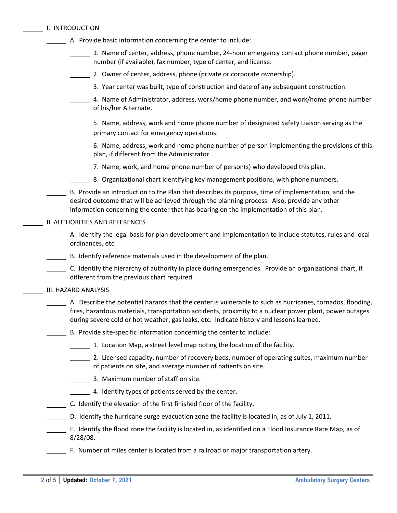|  | I. INTRODUCTION |
|--|-----------------|
|  |                 |

| <b>I. INTRUDUCTION</b>                                                                                                                                                                                                                                                                                            |
|-------------------------------------------------------------------------------------------------------------------------------------------------------------------------------------------------------------------------------------------------------------------------------------------------------------------|
| A. Provide basic information concerning the center to include:                                                                                                                                                                                                                                                    |
| 1. Name of center, address, phone number, 24-hour emergency contact phone number, pager<br>number (if available), fax number, type of center, and license.                                                                                                                                                        |
| 2. Owner of center, address, phone (private or corporate ownership).                                                                                                                                                                                                                                              |
| 3. Year center was built, type of construction and date of any subsequent construction.                                                                                                                                                                                                                           |
| 4. Name of Administrator, address, work/home phone number, and work/home phone number<br>of his/her Alternate.                                                                                                                                                                                                    |
| 5. Name, address, work and home phone number of designated Safety Liaison serving as the<br>primary contact for emergency operations.                                                                                                                                                                             |
| 6. Name, address, work and home phone number of person implementing the provisions of this<br>plan, if different from the Administrator.                                                                                                                                                                          |
| 7. Name, work, and home phone number of person(s) who developed this plan.                                                                                                                                                                                                                                        |
| 8. Organizational chart identifying key management positions, with phone numbers.                                                                                                                                                                                                                                 |
| B. Provide an introduction to the Plan that describes its purpose, time of implementation, and the<br>desired outcome that will be achieved through the planning process. Also, provide any other<br>information concerning the center that has bearing on the implementation of this plan.                       |
| II. AUTHORITIES AND REFERENCES                                                                                                                                                                                                                                                                                    |
| A. Identify the legal basis for plan development and implementation to include statutes, rules and local<br>ordinances, etc.                                                                                                                                                                                      |
| B. Identify reference materials used in the development of the plan.                                                                                                                                                                                                                                              |
| C. Identify the hierarchy of authority in place during emergencies. Provide an organizational chart, if<br>different from the previous chart required.                                                                                                                                                            |
| III. HAZARD ANALYSIS                                                                                                                                                                                                                                                                                              |
| A. Describe the potential hazards that the center is vulnerable to such as hurricanes, tornados, flooding,<br>fires, hazardous materials, transportation accidents, proximity to a nuclear power plant, power outages<br>during severe cold or hot weather, gas leaks, etc. Indicate history and lessons learned. |
| B. Provide site-specific information concerning the center to include:                                                                                                                                                                                                                                            |
| 1. Location Map, a street level map noting the location of the facility.                                                                                                                                                                                                                                          |
| 2. Licensed capacity, number of recovery beds, number of operating suites, maximum number<br>of patients on site, and average number of patients on site.                                                                                                                                                         |
| 3. Maximum number of staff on site.                                                                                                                                                                                                                                                                               |
| 4. Identify types of patients served by the center.                                                                                                                                                                                                                                                               |
| C. Identify the elevation of the first finished floor of the facility.                                                                                                                                                                                                                                            |
| D. Identify the hurricane surge evacuation zone the facility is located in, as of July 1, 2011.                                                                                                                                                                                                                   |
| E. Identify the flood zone the facility is located in, as identified on a Flood Insurance Rate Map, as of<br>$8/28/08$ .                                                                                                                                                                                          |
| F. Number of miles center is located from a railroad or major transportation artery.                                                                                                                                                                                                                              |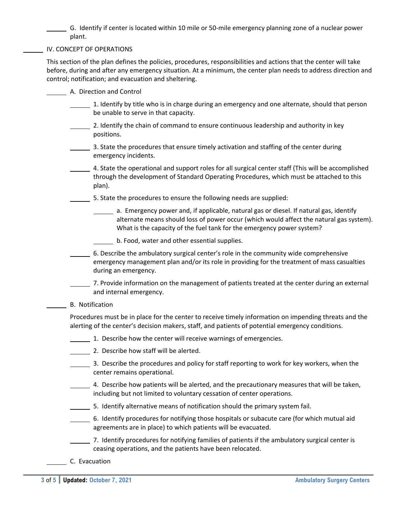G. Identify if center is located within 10 mile or 50‐mile emergency planning zone of a nuclear power plant.

IV. CONCEPT OF OPERATIONS

This section of the plan defines the policies, procedures, responsibilities and actions that the center will take before, during and after any emergency situation. At a minimum, the center plan needs to address direction and control; notification; and evacuation and sheltering.

- A. Direction and Control
	- 1. Identify by title who is in charge during an emergency and one alternate, should that person be unable to serve in that capacity.
	- 2. Identify the chain of command to ensure continuous leadership and authority in key positions.
	- 3. State the procedures that ensure timely activation and staffing of the center during emergency incidents.
	- 4. State the operational and support roles for all surgical center staff (This will be accomplished through the development of Standard Operating Procedures, which must be attached to this plan).
		- 5. State the procedures to ensure the following needs are supplied:
			- a. Emergency power and, if applicable, natural gas or diesel. If natural gas, identify alternate means should loss of power occur (which would affect the natural gas system). What is the capacity of the fuel tank for the emergency power system?
				- b. Food, water and other essential supplies.

 6. Describe the ambulatory surgical center's role in the community wide comprehensive emergency management plan and/or its role in providing for the treatment of mass casualties during an emergency.

- 7. Provide information on the management of patients treated at the center during an external and internal emergency.
- B. Notification

Procedures must be in place for the center to receive timely information on impending threats and the alerting of the center's decision makers, staff, and patients of potential emergency conditions.

- 1. Describe how the center will receive warnings of emergencies.
- 2. Describe how staff will be alerted.
- 3. Describe the procedures and policy for staff reporting to work for key workers, when the center remains operational.
- 4. Describe how patients will be alerted, and the precautionary measures that will be taken, including but not limited to voluntary cessation of center operations.
- 5. Identify alternative means of notification should the primary system fail.
- 6. Identify procedures for notifying those hospitals or subacute care (for which mutual aid agreements are in place) to which patients will be evacuated.
- 7. Identify procedures for notifying families of patients if the ambulatory surgical center is ceasing operations, and the patients have been relocated.
- C. Evacuation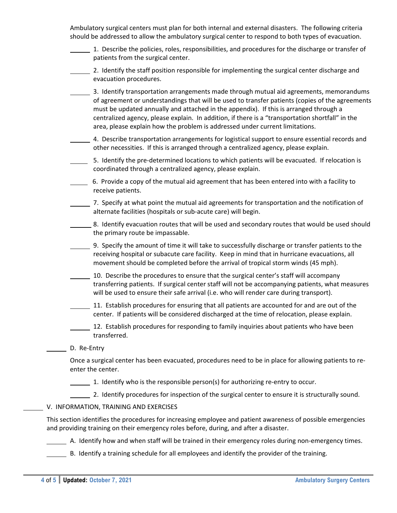Ambulatory surgical centers must plan for both internal and external disasters. The following criteria should be addressed to allow the ambulatory surgical center to respond to both types of evacuation.

- 1. Describe the policies, roles, responsibilities, and procedures for the discharge or transfer of patients from the surgical center.
- 2. Identify the staff position responsible for implementing the surgical center discharge and evacuation procedures.

3. Identify transportation arrangements made through mutual aid agreements, memorandums of agreement or understandings that will be used to transfer patients (copies of the agreements must be updated annually and attached in the appendix). If this is arranged through a centralized agency, please explain. In addition, if there is a "transportation shortfall" in the area, please explain how the problem is addressed under current limitations.

- 4. Describe transportation arrangements for logistical support to ensure essential records and other necessities. If this is arranged through a centralized agency, please explain.
- 5. Identify the pre-determined locations to which patients will be evacuated. If relocation is coordinated through a centralized agency, please explain.
- 6. Provide a copy of the mutual aid agreement that has been entered into with a facility to receive patients.
- 7. Specify at what point the mutual aid agreements for transportation and the notification of alternate facilities (hospitals or sub‐acute care) will begin.
- 8. Identify evacuation routes that will be used and secondary routes that would be used should the primary route be impassable.
- 9. Specify the amount of time it will take to successfully discharge or transfer patients to the receiving hospital or subacute care facility. Keep in mind that in hurricane evacuations, all movement should be completed before the arrival of tropical storm winds (45 mph).
- 10. Describe the procedures to ensure that the surgical center's staff will accompany transferring patients. If surgical center staff will not be accompanying patients, what measures will be used to ensure their safe arrival (i.e. who will render care during transport).
- 11. Establish procedures for ensuring that all patients are accounted for and are out of the center. If patients will be considered discharged at the time of relocation, please explain.
- 12. Establish procedures for responding to family inquiries about patients who have been transferred.

#### D. Re-Entry

Once a surgical center has been evacuated, procedures need to be in place for allowing patients to re‐ enter the center.

- $\frac{1}{\sqrt{1-\frac{1}{\sqrt{1-\frac{1}{\sqrt{1-\frac{1}{\sqrt{1-\frac{1}{\sqrt{1-\frac{1}{\sqrt{1-\frac{1}{\sqrt{1-\frac{1}{\sqrt{1-\frac{1}{\sqrt{1-\frac{1}{\sqrt{1-\frac{1}{\sqrt{1-\frac{1}{\sqrt{1-\frac{1}{\sqrt{1-\frac{1}{\sqrt{1-\frac{1}{\sqrt{1-\frac{1}{\sqrt{1-\frac{1}{\sqrt{1-\frac{1}{\sqrt{1-\frac{1}{\sqrt{1-\frac{1}{\sqrt{1-\frac{1}{\sqrt{1-\frac{1}{\sqrt{1-\frac{1}{\sqrt{1-\frac{1}{\sqrt{1-\frac{1$
- 2. Identify procedures for inspection of the surgical center to ensure it is structurally sound.
- V. INFORMATION, TRAINING AND EXERCISES

This section identifies the procedures for increasing employee and patient awareness of possible emergencies and providing training on their emergency roles before, during, and after a disaster.

A. Identify how and when staff will be trained in their emergency roles during non-emergency times.

B. Identify a training schedule for all employees and identify the provider of the training.